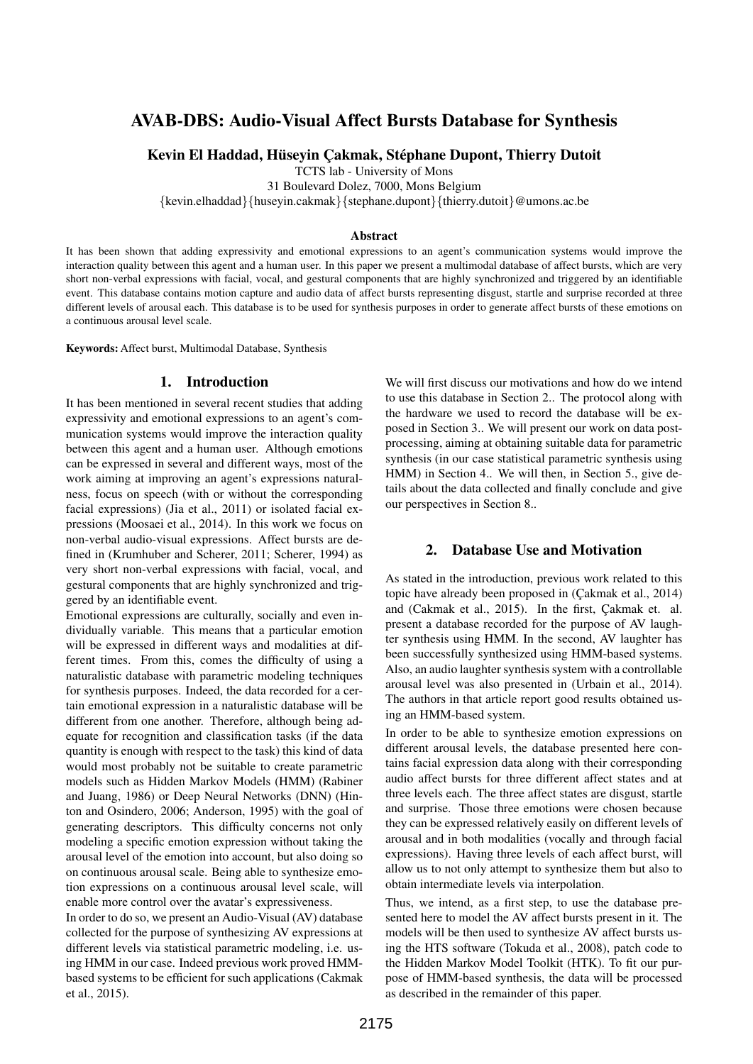# AVAB-DBS: Audio-Visual Affect Bursts Database for Synthesis

Kevin El Haddad, Hüseyin Çakmak, Stéphane Dupont, Thierry Dutoit

TCTS lab - University of Mons

31 Boulevard Dolez, 7000, Mons Belgium

{kevin.elhaddad}{huseyin.cakmak}{stephane.dupont}{thierry.dutoit}@umons.ac.be

#### Abstract

It has been shown that adding expressivity and emotional expressions to an agent's communication systems would improve the interaction quality between this agent and a human user. In this paper we present a multimodal database of affect bursts, which are very short non-verbal expressions with facial, vocal, and gestural components that are highly synchronized and triggered by an identifiable event. This database contains motion capture and audio data of affect bursts representing disgust, startle and surprise recorded at three different levels of arousal each. This database is to be used for synthesis purposes in order to generate affect bursts of these emotions on a continuous arousal level scale.

Keywords: Affect burst, Multimodal Database, Synthesis

## 1. Introduction

It has been mentioned in several recent studies that adding expressivity and emotional expressions to an agent's communication systems would improve the interaction quality between this agent and a human user. Although emotions can be expressed in several and different ways, most of the work aiming at improving an agent's expressions naturalness, focus on speech (with or without the corresponding facial expressions) (Jia et al., 2011) or isolated facial expressions (Moosaei et al., 2014). In this work we focus on non-verbal audio-visual expressions. Affect bursts are defined in (Krumhuber and Scherer, 2011; Scherer, 1994) as very short non-verbal expressions with facial, vocal, and gestural components that are highly synchronized and triggered by an identifiable event.

Emotional expressions are culturally, socially and even individually variable. This means that a particular emotion will be expressed in different ways and modalities at different times. From this, comes the difficulty of using a naturalistic database with parametric modeling techniques for synthesis purposes. Indeed, the data recorded for a certain emotional expression in a naturalistic database will be different from one another. Therefore, although being adequate for recognition and classification tasks (if the data quantity is enough with respect to the task) this kind of data would most probably not be suitable to create parametric models such as Hidden Markov Models (HMM) (Rabiner and Juang, 1986) or Deep Neural Networks (DNN) (Hinton and Osindero, 2006; Anderson, 1995) with the goal of generating descriptors. This difficulty concerns not only modeling a specific emotion expression without taking the arousal level of the emotion into account, but also doing so on continuous arousal scale. Being able to synthesize emotion expressions on a continuous arousal level scale, will enable more control over the avatar's expressiveness.

In order to do so, we present an Audio-Visual (AV) database collected for the purpose of synthesizing AV expressions at different levels via statistical parametric modeling, i.e. using HMM in our case. Indeed previous work proved HMMbased systems to be efficient for such applications (Cakmak et al., 2015).

We will first discuss our motivations and how do we intend to use this database in Section 2.. The protocol along with the hardware we used to record the database will be exposed in Section 3.. We will present our work on data postprocessing, aiming at obtaining suitable data for parametric synthesis (in our case statistical parametric synthesis using HMM) in Section 4.. We will then, in Section 5., give details about the data collected and finally conclude and give our perspectives in Section 8..

#### 2. Database Use and Motivation

As stated in the introduction, previous work related to this topic have already been proposed in (Çakmak et al., 2014) and (Cakmak et al., 2015). In the first, Çakmak et. al. present a database recorded for the purpose of AV laughter synthesis using HMM. In the second, AV laughter has been successfully synthesized using HMM-based systems. Also, an audio laughter synthesis system with a controllable arousal level was also presented in (Urbain et al., 2014). The authors in that article report good results obtained using an HMM-based system.

In order to be able to synthesize emotion expressions on different arousal levels, the database presented here contains facial expression data along with their corresponding audio affect bursts for three different affect states and at three levels each. The three affect states are disgust, startle and surprise. Those three emotions were chosen because they can be expressed relatively easily on different levels of arousal and in both modalities (vocally and through facial expressions). Having three levels of each affect burst, will allow us to not only attempt to synthesize them but also to obtain intermediate levels via interpolation.

Thus, we intend, as a first step, to use the database presented here to model the AV affect bursts present in it. The models will be then used to synthesize AV affect bursts using the HTS software (Tokuda et al., 2008), patch code to the Hidden Markov Model Toolkit (HTK). To fit our purpose of HMM-based synthesis, the data will be processed as described in the remainder of this paper.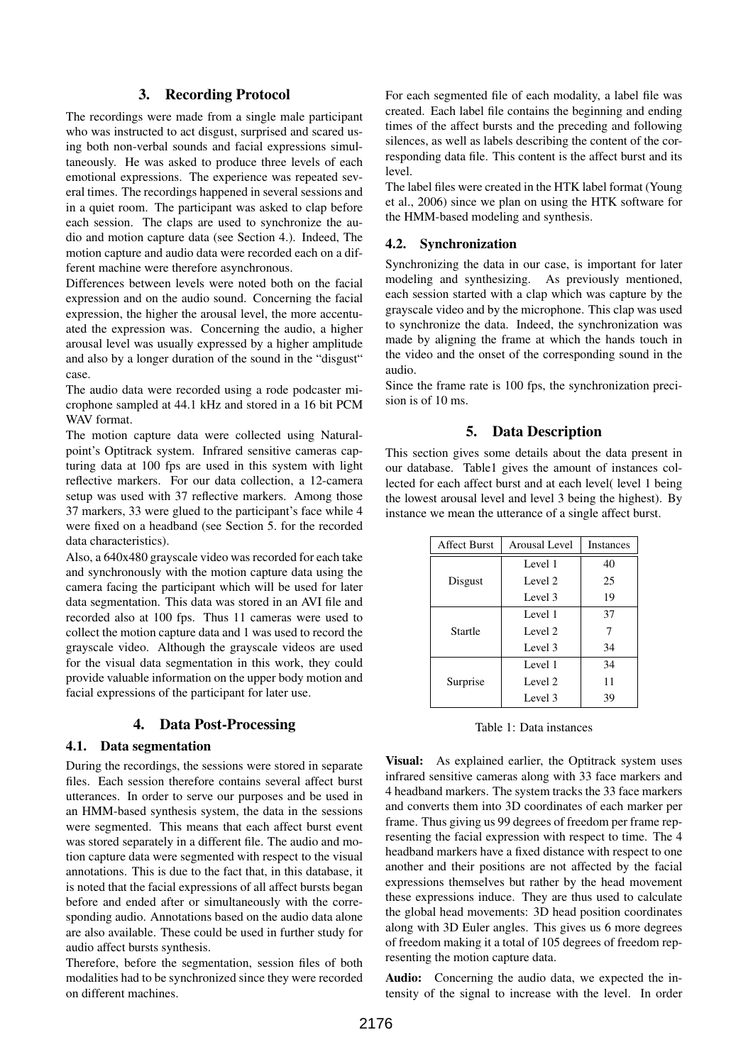#### 3. Recording Protocol

The recordings were made from a single male participant who was instructed to act disgust, surprised and scared using both non-verbal sounds and facial expressions simultaneously. He was asked to produce three levels of each emotional expressions. The experience was repeated several times. The recordings happened in several sessions and in a quiet room. The participant was asked to clap before each session. The claps are used to synchronize the audio and motion capture data (see Section 4.). Indeed, The motion capture and audio data were recorded each on a different machine were therefore asynchronous.

Differences between levels were noted both on the facial expression and on the audio sound. Concerning the facial expression, the higher the arousal level, the more accentuated the expression was. Concerning the audio, a higher arousal level was usually expressed by a higher amplitude and also by a longer duration of the sound in the "disgust" case.

The audio data were recorded using a rode podcaster microphone sampled at 44.1 kHz and stored in a 16 bit PCM WAV format.

The motion capture data were collected using Naturalpoint's Optitrack system. Infrared sensitive cameras capturing data at 100 fps are used in this system with light reflective markers. For our data collection, a 12-camera setup was used with 37 reflective markers. Among those 37 markers, 33 were glued to the participant's face while 4 were fixed on a headband (see Section 5. for the recorded data characteristics).

Also, a 640x480 grayscale video was recorded for each take and synchronously with the motion capture data using the camera facing the participant which will be used for later data segmentation. This data was stored in an AVI file and recorded also at 100 fps. Thus 11 cameras were used to collect the motion capture data and 1 was used to record the grayscale video. Although the grayscale videos are used for the visual data segmentation in this work, they could provide valuable information on the upper body motion and facial expressions of the participant for later use.

### 4. Data Post-Processing

#### 4.1. Data segmentation

During the recordings, the sessions were stored in separate files. Each session therefore contains several affect burst utterances. In order to serve our purposes and be used in an HMM-based synthesis system, the data in the sessions were segmented. This means that each affect burst event was stored separately in a different file. The audio and motion capture data were segmented with respect to the visual annotations. This is due to the fact that, in this database, it is noted that the facial expressions of all affect bursts began before and ended after or simultaneously with the corresponding audio. Annotations based on the audio data alone are also available. These could be used in further study for audio affect bursts synthesis.

Therefore, before the segmentation, session files of both modalities had to be synchronized since they were recorded on different machines.

For each segmented file of each modality, a label file was created. Each label file contains the beginning and ending times of the affect bursts and the preceding and following silences, as well as labels describing the content of the corresponding data file. This content is the affect burst and its level.

The label files were created in the HTK label format (Young et al., 2006) since we plan on using the HTK software for the HMM-based modeling and synthesis.

#### 4.2. Synchronization

Synchronizing the data in our case, is important for later modeling and synthesizing. As previously mentioned, each session started with a clap which was capture by the grayscale video and by the microphone. This clap was used to synchronize the data. Indeed, the synchronization was made by aligning the frame at which the hands touch in the video and the onset of the corresponding sound in the audio.

Since the frame rate is 100 fps, the synchronization precision is of 10 ms.

#### 5. Data Description

This section gives some details about the data present in our database. Table1 gives the amount of instances collected for each affect burst and at each level( level 1 being the lowest arousal level and level 3 being the highest). By instance we mean the utterance of a single affect burst.

| <b>Affect Burst</b> | Arousal Level | <b>Instances</b> |
|---------------------|---------------|------------------|
| Disgust             | Level 1       | 40               |
|                     | Level 2       | 25               |
|                     | Level 3       | 19               |
| Startle             | Level 1       | 37               |
|                     | Level 2       |                  |
|                     | Level 3       | 34               |
| Surprise            | Level 1       | 34               |
|                     | Level 2       | 11               |
|                     | Level 3       | 39               |

Table 1: Data instances

Visual: As explained earlier, the Optitrack system uses infrared sensitive cameras along with 33 face markers and 4 headband markers. The system tracks the 33 face markers and converts them into 3D coordinates of each marker per frame. Thus giving us 99 degrees of freedom per frame representing the facial expression with respect to time. The 4 headband markers have a fixed distance with respect to one another and their positions are not affected by the facial expressions themselves but rather by the head movement these expressions induce. They are thus used to calculate the global head movements: 3D head position coordinates along with 3D Euler angles. This gives us 6 more degrees of freedom making it a total of 105 degrees of freedom representing the motion capture data.

Audio: Concerning the audio data, we expected the intensity of the signal to increase with the level. In order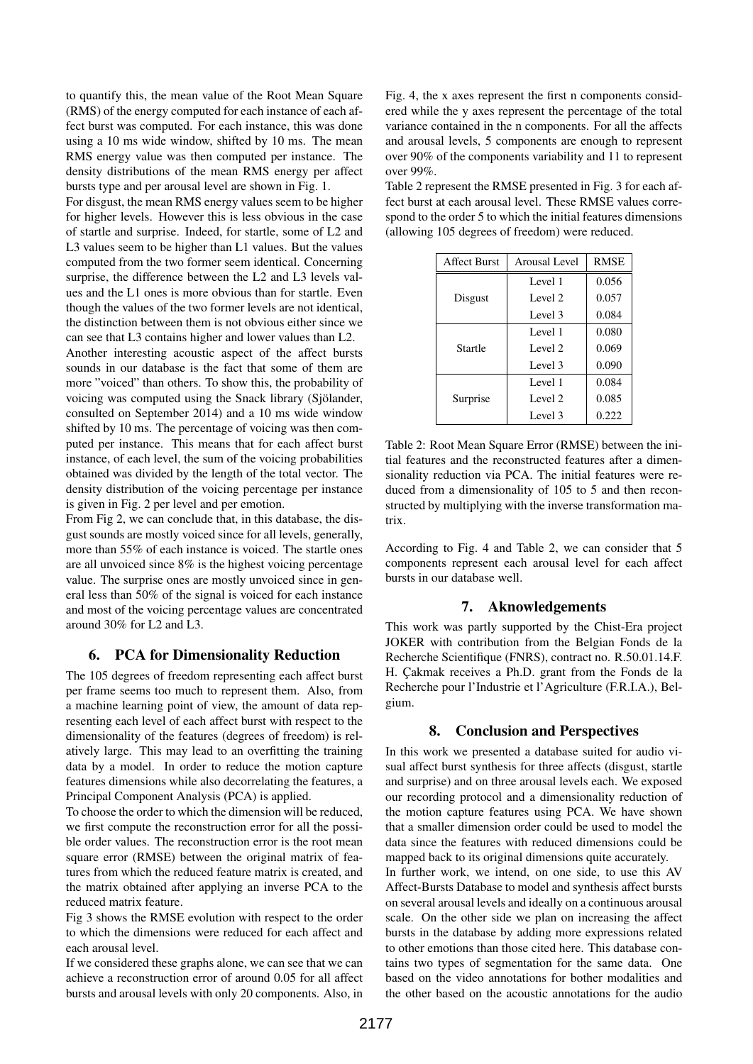to quantify this, the mean value of the Root Mean Square (RMS) of the energy computed for each instance of each affect burst was computed. For each instance, this was done using a 10 ms wide window, shifted by 10 ms. The mean RMS energy value was then computed per instance. The density distributions of the mean RMS energy per affect bursts type and per arousal level are shown in Fig. 1.

For disgust, the mean RMS energy values seem to be higher for higher levels. However this is less obvious in the case of startle and surprise. Indeed, for startle, some of L2 and L3 values seem to be higher than L1 values. But the values computed from the two former seem identical. Concerning surprise, the difference between the L2 and L3 levels values and the L1 ones is more obvious than for startle. Even though the values of the two former levels are not identical, the distinction between them is not obvious either since we can see that L3 contains higher and lower values than L2.

Another interesting acoustic aspect of the affect bursts sounds in our database is the fact that some of them are more "voiced" than others. To show this, the probability of voicing was computed using the Snack library (Sjölander, consulted on September 2014) and a 10 ms wide window shifted by 10 ms. The percentage of voicing was then computed per instance. This means that for each affect burst instance, of each level, the sum of the voicing probabilities obtained was divided by the length of the total vector. The density distribution of the voicing percentage per instance is given in Fig. 2 per level and per emotion.

From Fig 2, we can conclude that, in this database, the disgust sounds are mostly voiced since for all levels, generally, more than 55% of each instance is voiced. The startle ones are all unvoiced since 8% is the highest voicing percentage value. The surprise ones are mostly unvoiced since in general less than 50% of the signal is voiced for each instance and most of the voicing percentage values are concentrated around 30% for L2 and L3.

### 6. PCA for Dimensionality Reduction

The 105 degrees of freedom representing each affect burst per frame seems too much to represent them. Also, from a machine learning point of view, the amount of data representing each level of each affect burst with respect to the dimensionality of the features (degrees of freedom) is relatively large. This may lead to an overfitting the training data by a model. In order to reduce the motion capture features dimensions while also decorrelating the features, a Principal Component Analysis (PCA) is applied.

To choose the order to which the dimension will be reduced, we first compute the reconstruction error for all the possible order values. The reconstruction error is the root mean square error (RMSE) between the original matrix of features from which the reduced feature matrix is created, and the matrix obtained after applying an inverse PCA to the reduced matrix feature.

Fig 3 shows the RMSE evolution with respect to the order to which the dimensions were reduced for each affect and each arousal level.

If we considered these graphs alone, we can see that we can achieve a reconstruction error of around 0.05 for all affect bursts and arousal levels with only 20 components. Also, in

Fig. 4, the x axes represent the first n components considered while the y axes represent the percentage of the total variance contained in the n components. For all the affects and arousal levels, 5 components are enough to represent over 90% of the components variability and 11 to represent over 99%.

Table 2 represent the RMSE presented in Fig. 3 for each affect burst at each arousal level. These RMSE values correspond to the order 5 to which the initial features dimensions (allowing 105 degrees of freedom) were reduced.

| <b>Affect Burst</b> | Arousal Level | <b>RMSE</b> |
|---------------------|---------------|-------------|
| Disgust             | Level 1       | 0.056       |
|                     | Level 2       | 0.057       |
|                     | Level 3       | 0.084       |
| Startle             | Level 1       | 0.080       |
|                     | Level 2       | 0.069       |
|                     | Level 3       | 0.090       |
| Surprise            | Level 1       | 0.084       |
|                     | Level 2       | 0.085       |
|                     | Level 3       | 0.222       |

Table 2: Root Mean Square Error (RMSE) between the initial features and the reconstructed features after a dimensionality reduction via PCA. The initial features were reduced from a dimensionality of 105 to 5 and then reconstructed by multiplying with the inverse transformation matrix.

According to Fig. 4 and Table 2, we can consider that 5 components represent each arousal level for each affect bursts in our database well.

### 7. Aknowledgements

This work was partly supported by the Chist-Era project JOKER with contribution from the Belgian Fonds de la Recherche Scientifique (FNRS), contract no. R.50.01.14.F. H. Çakmak receives a Ph.D. grant from the Fonds de la Recherche pour l'Industrie et l'Agriculture (F.R.I.A.), Belgium.

### 8. Conclusion and Perspectives

In this work we presented a database suited for audio visual affect burst synthesis for three affects (disgust, startle and surprise) and on three arousal levels each. We exposed our recording protocol and a dimensionality reduction of the motion capture features using PCA. We have shown that a smaller dimension order could be used to model the data since the features with reduced dimensions could be mapped back to its original dimensions quite accurately.

In further work, we intend, on one side, to use this AV Affect-Bursts Database to model and synthesis affect bursts on several arousal levels and ideally on a continuous arousal scale. On the other side we plan on increasing the affect bursts in the database by adding more expressions related to other emotions than those cited here. This database contains two types of segmentation for the same data. One based on the video annotations for bother modalities and the other based on the acoustic annotations for the audio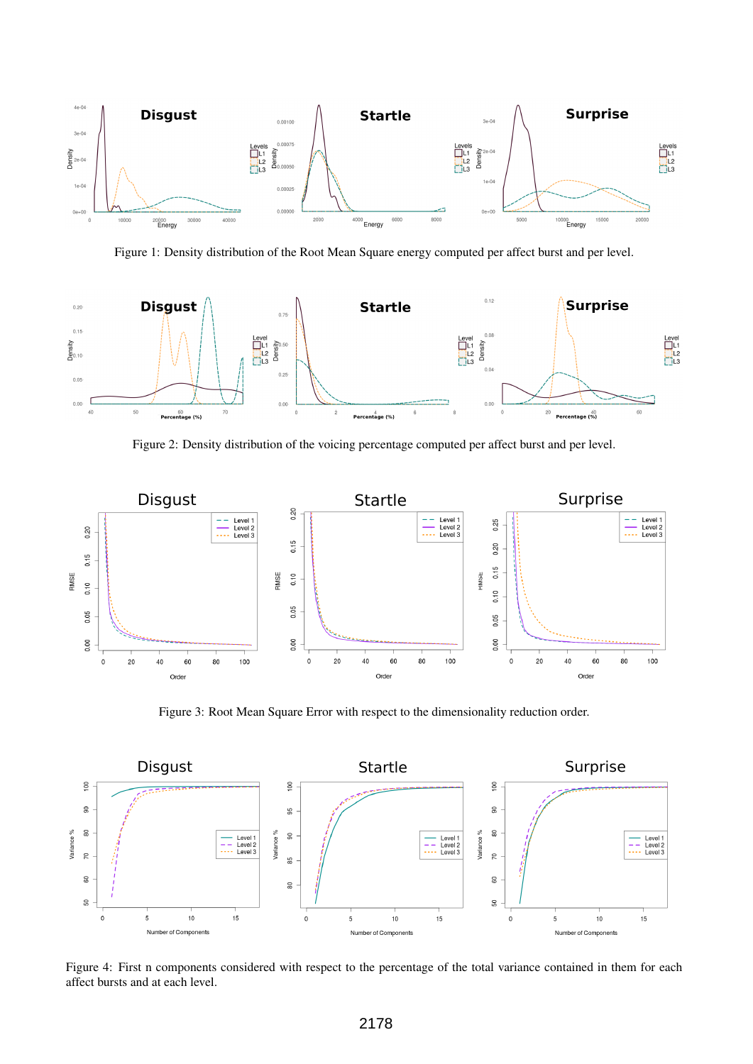

Figure 1: Density distribution of the Root Mean Square energy computed per affect burst and per level.



Figure 2: Density distribution of the voicing percentage computed per affect burst and per level.



Figure 3: Root Mean Square Error with respect to the dimensionality reduction order.



Figure 4: First n components considered with respect to the percentage of the total variance contained in them for each affect bursts and at each level.